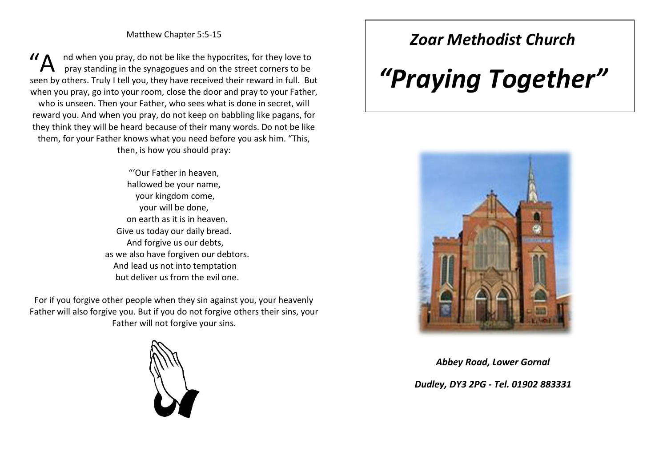nd when you pray, do not be like the hypocrites, for they love to pray standing in the synagogues and on the street corners to be seen by others. Truly I tell you, they have received their reward in full. But when you pray, go into your room, close the door and pray to your Father, who is unseen. Then your Father, who sees what is done in secret, will reward you. And when you pray, do not keep on babbling like pagans, for they think they will be heard because of their many words. Do not be like them, for your Father knows what you need before you ask him. "This, then, is how you should pray: "A

> "'Our Father in heaven, hallowed be your name, your kingdom come, your will be done, on earth as it is in heaven. Give us today our daily bread. And forgive us our debts, as we also have forgiven our debtors. And lead us not into temptation but deliver us from the evil one.

For if you forgive other people when they sin against you, your heavenly Father will also forgive you. But if you do not forgive others their sins, your Father will not forgive your sins.



## *Zoar Methodist Church*

# *"Praying Together"*



*Abbey Road, Lower Gornal Dudley, DY3 2PG - Tel. 01902 883331*